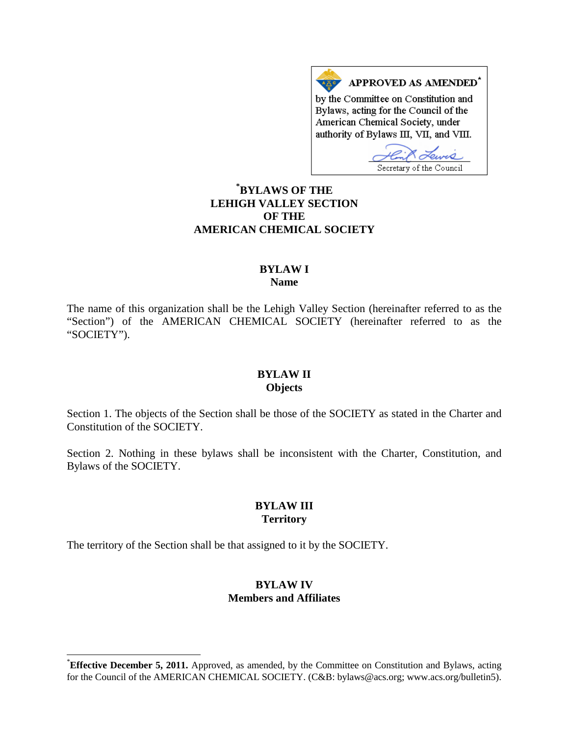APPROVED AS AMENDED\* by the Committee on Constitution and Bylaws, acting for the Council of the American Chemical Society, under authority of Bylaws III, VII, and VIII.  $\mathcal{L}$ 

Secretary of the Council **[\\*](#page-0-0) BYLAWS OF THE LEHIGH VALLEY SECTION OF THE AMERICAN CHEMICAL SOCIETY**

### **BYLAW I Name**

The name of this organization shall be the Lehigh Valley Section (hereinafter referred to as the "Section") of the AMERICAN CHEMICAL SOCIETY (hereinafter referred to as the "SOCIETY").

#### **BYLAW II Objects**

Section 1. The objects of the Section shall be those of the SOCIETY as stated in the Charter and Constitution of the SOCIETY.

Section 2. Nothing in these bylaws shall be inconsistent with the Charter, Constitution, and Bylaws of the SOCIETY.

# **BYLAW III Territory**

The territory of the Section shall be that assigned to it by the SOCIETY.

# **BYLAW IV Members and Affiliates**

<span id="page-0-0"></span>**Effective December 5, 2011.** Approved, as amended, by the Committee on Constitution and Bylaws, acting for the Council of the AMERICAN CHEMICAL SOCIETY. (C&B: bylaws@acs.org; www.acs.org/bulletin5).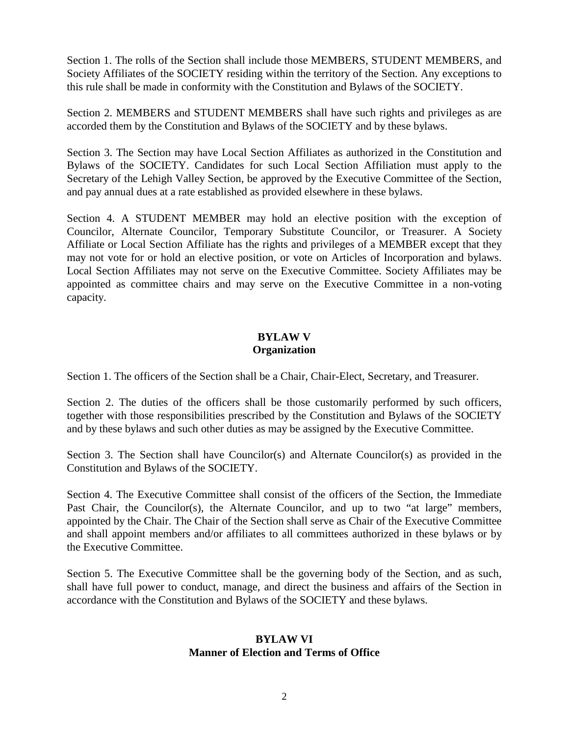Section 1. The rolls of the Section shall include those MEMBERS, STUDENT MEMBERS, and Society Affiliates of the SOCIETY residing within the territory of the Section. Any exceptions to this rule shall be made in conformity with the Constitution and Bylaws of the SOCIETY.

Section 2. MEMBERS and STUDENT MEMBERS shall have such rights and privileges as are accorded them by the Constitution and Bylaws of the SOCIETY and by these bylaws.

Section 3. The Section may have Local Section Affiliates as authorized in the Constitution and Bylaws of the SOCIETY. Candidates for such Local Section Affiliation must apply to the Secretary of the Lehigh Valley Section, be approved by the Executive Committee of the Section, and pay annual dues at a rate established as provided elsewhere in these bylaws.

Section 4. A STUDENT MEMBER may hold an elective position with the exception of Councilor, Alternate Councilor, Temporary Substitute Councilor, or Treasurer. A Society Affiliate or Local Section Affiliate has the rights and privileges of a MEMBER except that they may not vote for or hold an elective position, or vote on Articles of Incorporation and bylaws. Local Section Affiliates may not serve on the Executive Committee. Society Affiliates may be appointed as committee chairs and may serve on the Executive Committee in a non-voting capacity.

# **BYLAW V Organization**

Section 1. The officers of the Section shall be a Chair, Chair-Elect, Secretary, and Treasurer.

Section 2. The duties of the officers shall be those customarily performed by such officers, together with those responsibilities prescribed by the Constitution and Bylaws of the SOCIETY and by these bylaws and such other duties as may be assigned by the Executive Committee.

Section 3. The Section shall have Councilor(s) and Alternate Councilor(s) as provided in the Constitution and Bylaws of the SOCIETY.

Section 4. The Executive Committee shall consist of the officers of the Section, the Immediate Past Chair, the Councilor(s), the Alternate Councilor, and up to two "at large" members, appointed by the Chair. The Chair of the Section shall serve as Chair of the Executive Committee and shall appoint members and/or affiliates to all committees authorized in these bylaws or by the Executive Committee.

Section 5. The Executive Committee shall be the governing body of the Section, and as such, shall have full power to conduct, manage, and direct the business and affairs of the Section in accordance with the Constitution and Bylaws of the SOCIETY and these bylaws.

### **BYLAW VI Manner of Election and Terms of Office**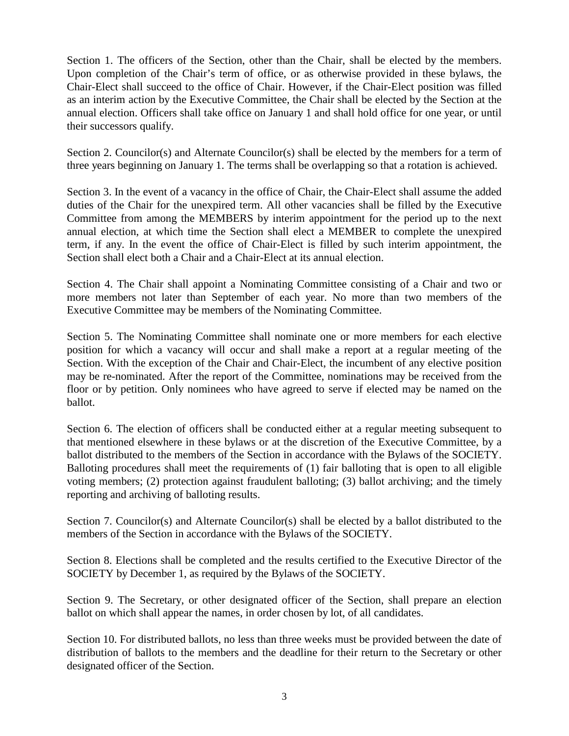Section 1. The officers of the Section, other than the Chair, shall be elected by the members. Upon completion of the Chair's term of office, or as otherwise provided in these bylaws, the Chair-Elect shall succeed to the office of Chair. However, if the Chair-Elect position was filled as an interim action by the Executive Committee, the Chair shall be elected by the Section at the annual election. Officers shall take office on January 1 and shall hold office for one year, or until their successors qualify.

Section 2. Councilor(s) and Alternate Councilor(s) shall be elected by the members for a term of three years beginning on January 1. The terms shall be overlapping so that a rotation is achieved.

Section 3. In the event of a vacancy in the office of Chair, the Chair-Elect shall assume the added duties of the Chair for the unexpired term. All other vacancies shall be filled by the Executive Committee from among the MEMBERS by interim appointment for the period up to the next annual election, at which time the Section shall elect a MEMBER to complete the unexpired term, if any. In the event the office of Chair-Elect is filled by such interim appointment, the Section shall elect both a Chair and a Chair-Elect at its annual election.

Section 4. The Chair shall appoint a Nominating Committee consisting of a Chair and two or more members not later than September of each year. No more than two members of the Executive Committee may be members of the Nominating Committee.

Section 5. The Nominating Committee shall nominate one or more members for each elective position for which a vacancy will occur and shall make a report at a regular meeting of the Section. With the exception of the Chair and Chair-Elect, the incumbent of any elective position may be re-nominated. After the report of the Committee, nominations may be received from the floor or by petition. Only nominees who have agreed to serve if elected may be named on the ballot.

Section 6. The election of officers shall be conducted either at a regular meeting subsequent to that mentioned elsewhere in these bylaws or at the discretion of the Executive Committee, by a ballot distributed to the members of the Section in accordance with the Bylaws of the SOCIETY. Balloting procedures shall meet the requirements of (1) fair balloting that is open to all eligible voting members; (2) protection against fraudulent balloting; (3) ballot archiving; and the timely reporting and archiving of balloting results.

Section 7. Councilor(s) and Alternate Councilor(s) shall be elected by a ballot distributed to the members of the Section in accordance with the Bylaws of the SOCIETY.

Section 8. Elections shall be completed and the results certified to the Executive Director of the SOCIETY by December 1, as required by the Bylaws of the SOCIETY.

Section 9. The Secretary, or other designated officer of the Section, shall prepare an election ballot on which shall appear the names, in order chosen by lot, of all candidates.

Section 10. For distributed ballots, no less than three weeks must be provided between the date of distribution of ballots to the members and the deadline for their return to the Secretary or other designated officer of the Section.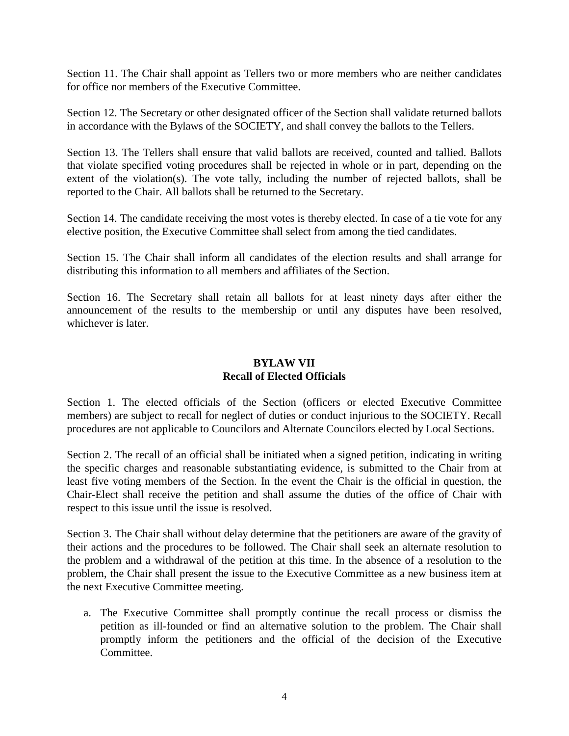Section 11. The Chair shall appoint as Tellers two or more members who are neither candidates for office nor members of the Executive Committee.

Section 12. The Secretary or other designated officer of the Section shall validate returned ballots in accordance with the Bylaws of the SOCIETY, and shall convey the ballots to the Tellers.

Section 13. The Tellers shall ensure that valid ballots are received, counted and tallied. Ballots that violate specified voting procedures shall be rejected in whole or in part, depending on the extent of the violation(s). The vote tally, including the number of rejected ballots, shall be reported to the Chair. All ballots shall be returned to the Secretary.

Section 14. The candidate receiving the most votes is thereby elected. In case of a tie vote for any elective position, the Executive Committee shall select from among the tied candidates.

Section 15. The Chair shall inform all candidates of the election results and shall arrange for distributing this information to all members and affiliates of the Section.

Section 16. The Secretary shall retain all ballots for at least ninety days after either the announcement of the results to the membership or until any disputes have been resolved, whichever is later.

# **BYLAW VII Recall of Elected Officials**

Section 1. The elected officials of the Section (officers or elected Executive Committee members) are subject to recall for neglect of duties or conduct injurious to the SOCIETY. Recall procedures are not applicable to Councilors and Alternate Councilors elected by Local Sections.

Section 2. The recall of an official shall be initiated when a signed petition, indicating in writing the specific charges and reasonable substantiating evidence, is submitted to the Chair from at least five voting members of the Section. In the event the Chair is the official in question, the Chair-Elect shall receive the petition and shall assume the duties of the office of Chair with respect to this issue until the issue is resolved.

Section 3. The Chair shall without delay determine that the petitioners are aware of the gravity of their actions and the procedures to be followed. The Chair shall seek an alternate resolution to the problem and a withdrawal of the petition at this time. In the absence of a resolution to the problem, the Chair shall present the issue to the Executive Committee as a new business item at the next Executive Committee meeting.

a. The Executive Committee shall promptly continue the recall process or dismiss the petition as ill-founded or find an alternative solution to the problem. The Chair shall promptly inform the petitioners and the official of the decision of the Executive Committee.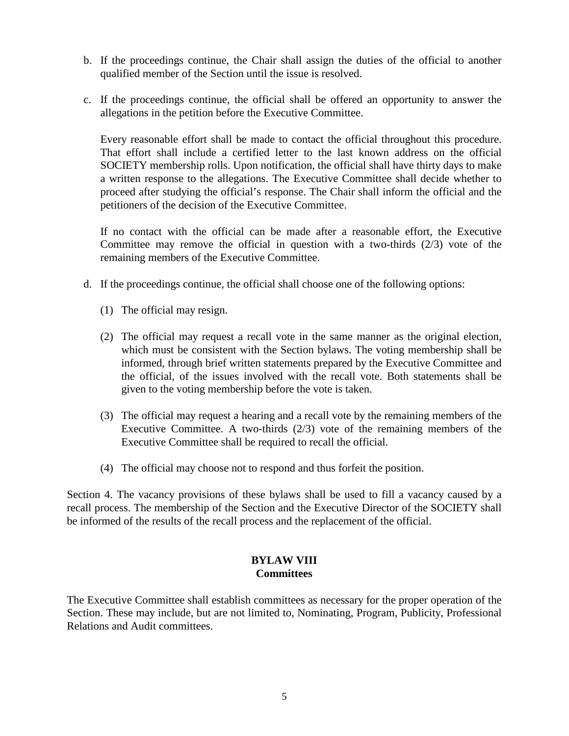- b. If the proceedings continue, the Chair shall assign the duties of the official to another qualified member of the Section until the issue is resolved.
- c. If the proceedings continue, the official shall be offered an opportunity to answer the allegations in the petition before the Executive Committee.

Every reasonable effort shall be made to contact the official throughout this procedure. That effort shall include a certified letter to the last known address on the official SOCIETY membership rolls. Upon notification, the official shall have thirty days to make a written response to the allegations. The Executive Committee shall decide whether to proceed after studying the official's response. The Chair shall inform the official and the petitioners of the decision of the Executive Committee.

If no contact with the official can be made after a reasonable effort, the Executive Committee may remove the official in question with a two-thirds  $(2/3)$  vote of the remaining members of the Executive Committee.

- d. If the proceedings continue, the official shall choose one of the following options:
	- (1) The official may resign.
	- (2) The official may request a recall vote in the same manner as the original election, which must be consistent with the Section bylaws. The voting membership shall be informed, through brief written statements prepared by the Executive Committee and the official, of the issues involved with the recall vote. Both statements shall be given to the voting membership before the vote is taken.
	- (3) The official may request a hearing and a recall vote by the remaining members of the Executive Committee. A two-thirds (2/3) vote of the remaining members of the Executive Committee shall be required to recall the official.
	- (4) The official may choose not to respond and thus forfeit the position.

Section 4. The vacancy provisions of these bylaws shall be used to fill a vacancy caused by a recall process. The membership of the Section and the Executive Director of the SOCIETY shall be informed of the results of the recall process and the replacement of the official.

### **BYLAW VIII Committees**

The Executive Committee shall establish committees as necessary for the proper operation of the Section. These may include, but are not limited to, Nominating, Program, Publicity, Professional Relations and Audit committees.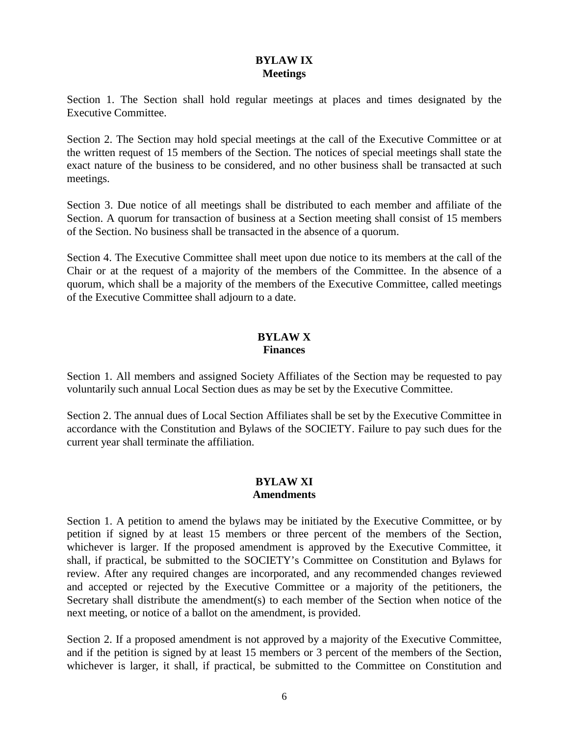# **BYLAW IX Meetings**

Section 1. The Section shall hold regular meetings at places and times designated by the Executive Committee.

Section 2. The Section may hold special meetings at the call of the Executive Committee or at the written request of 15 members of the Section. The notices of special meetings shall state the exact nature of the business to be considered, and no other business shall be transacted at such meetings.

Section 3. Due notice of all meetings shall be distributed to each member and affiliate of the Section. A quorum for transaction of business at a Section meeting shall consist of 15 members of the Section. No business shall be transacted in the absence of a quorum.

Section 4. The Executive Committee shall meet upon due notice to its members at the call of the Chair or at the request of a majority of the members of the Committee. In the absence of a quorum, which shall be a majority of the members of the Executive Committee, called meetings of the Executive Committee shall adjourn to a date.

### **BYLAW X Finances**

Section 1. All members and assigned Society Affiliates of the Section may be requested to pay voluntarily such annual Local Section dues as may be set by the Executive Committee.

Section 2. The annual dues of Local Section Affiliates shall be set by the Executive Committee in accordance with the Constitution and Bylaws of the SOCIETY. Failure to pay such dues for the current year shall terminate the affiliation.

### **BYLAW XI Amendments**

Section 1. A petition to amend the bylaws may be initiated by the Executive Committee, or by petition if signed by at least 15 members or three percent of the members of the Section, whichever is larger. If the proposed amendment is approved by the Executive Committee, it shall, if practical, be submitted to the SOCIETY's Committee on Constitution and Bylaws for review. After any required changes are incorporated, and any recommended changes reviewed and accepted or rejected by the Executive Committee or a majority of the petitioners, the Secretary shall distribute the amendment(s) to each member of the Section when notice of the next meeting, or notice of a ballot on the amendment, is provided.

Section 2. If a proposed amendment is not approved by a majority of the Executive Committee, and if the petition is signed by at least 15 members or 3 percent of the members of the Section, whichever is larger, it shall, if practical, be submitted to the Committee on Constitution and